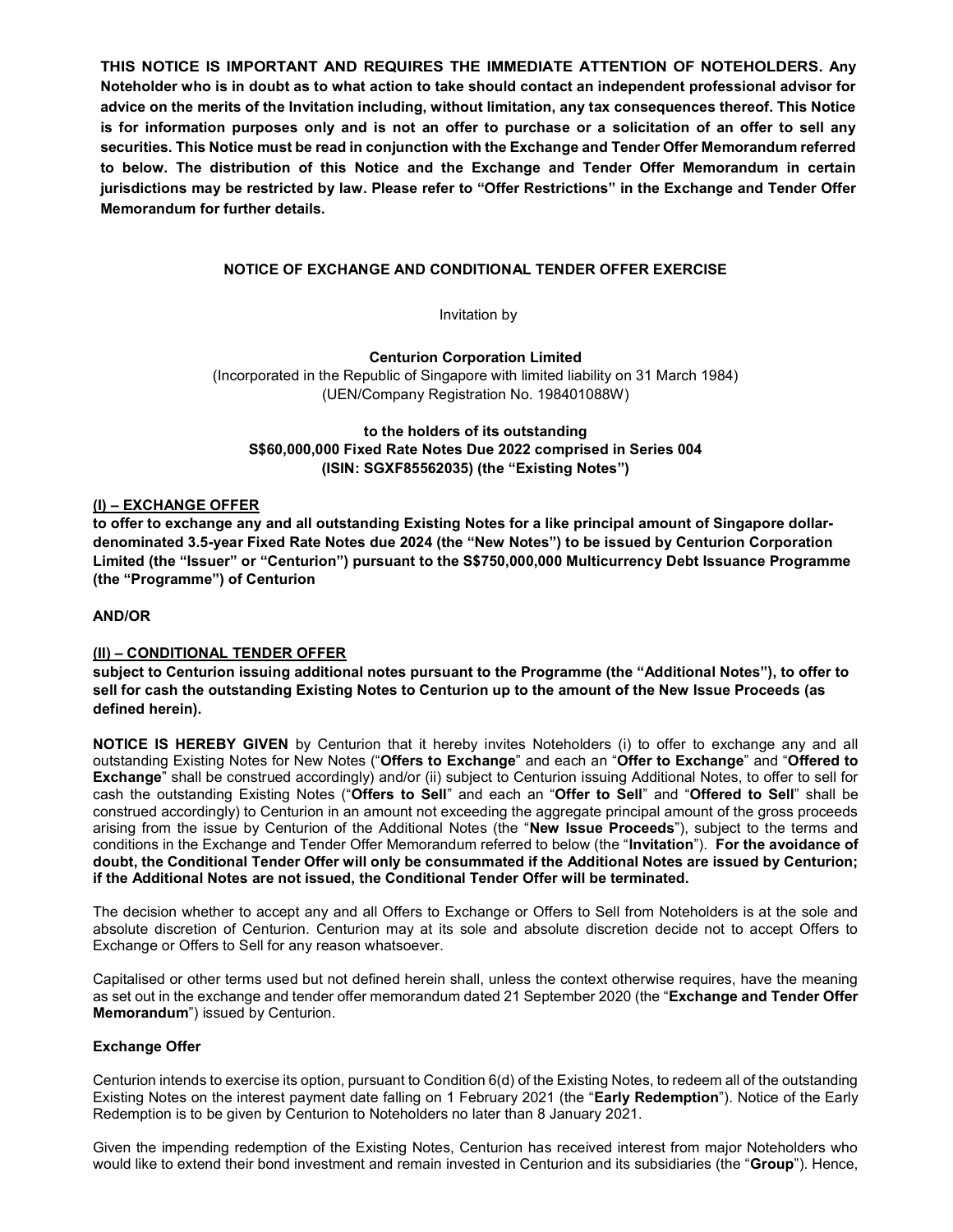THIS NOTICE IS IMPORTANT AND REQUIRES THE IMMEDIATE ATTENTION OF NOTEHOLDERS. Any Noteholder who is in doubt as to what action to take should contact an independent professional advisor for advice on the merits of the Invitation including, without limitation, any tax consequences thereof. This Notice is for information purposes only and is not an offer to purchase or a solicitation of an offer to sell any securities. This Notice must be read in conjunction with the Exchange and Tender Offer Memorandum referred to below. The distribution of this Notice and the Exchange and Tender Offer Memorandum in certain jurisdictions may be restricted by law. Please refer to "Offer Restrictions" in the Exchange and Tender Offer Memorandum for further details.

# NOTICE OF EXCHANGE AND CONDITIONAL TENDER OFFER EXERCISE

Invitation by

Centurion Corporation Limited (Incorporated in the Republic of Singapore with limited liability on 31 March 1984) (UEN/Company Registration No. 198401088W)

to the holders of its outstanding S\$60,000,000 Fixed Rate Notes Due 2022 comprised in Series 004 (ISIN: SGXF85562035) (the "Existing Notes")

# (I) – EXCHANGE OFFER

to offer to exchange any and all outstanding Existing Notes for a like principal amount of Singapore dollardenominated 3.5-year Fixed Rate Notes due 2024 (the "New Notes") to be issued by Centurion Corporation Limited (the "Issuer" or "Centurion") pursuant to the S\$750,000,000 Multicurrency Debt Issuance Programme (the "Programme") of Centurion

## AND/OR

### (II) – CONDITIONAL TENDER OFFER

subject to Centurion issuing additional notes pursuant to the Programme (the "Additional Notes"), to offer to sell for cash the outstanding Existing Notes to Centurion up to the amount of the New Issue Proceeds (as defined herein).

NOTICE IS HEREBY GIVEN by Centurion that it hereby invites Noteholders (i) to offer to exchange any and all outstanding Existing Notes for New Notes ("Offers to Exchange" and each an "Offer to Exchange" and "Offered to Exchange" shall be construed accordingly) and/or (ii) subject to Centurion issuing Additional Notes, to offer to sell for cash the outstanding Existing Notes ("Offers to Sell" and each an "Offer to Sell" and "Offered to Sell" shall be construed accordingly) to Centurion in an amount not exceeding the aggregate principal amount of the gross proceeds arising from the issue by Centurion of the Additional Notes (the "New Issue Proceeds"), subject to the terms and conditions in the Exchange and Tender Offer Memorandum referred to below (the "Invitation"). For the avoidance of doubt, the Conditional Tender Offer will only be consummated if the Additional Notes are issued by Centurion; if the Additional Notes are not issued, the Conditional Tender Offer will be terminated.

The decision whether to accept any and all Offers to Exchange or Offers to Sell from Noteholders is at the sole and absolute discretion of Centurion. Centurion may at its sole and absolute discretion decide not to accept Offers to Exchange or Offers to Sell for any reason whatsoever.

Capitalised or other terms used but not defined herein shall, unless the context otherwise requires, have the meaning as set out in the exchange and tender offer memorandum dated 21 September 2020 (the "Exchange and Tender Offer Memorandum") issued by Centurion.

### Exchange Offer

Centurion intends to exercise its option, pursuant to Condition 6(d) of the Existing Notes, to redeem all of the outstanding Existing Notes on the interest payment date falling on 1 February 2021 (the "Early Redemption"). Notice of the Early Redemption is to be given by Centurion to Noteholders no later than 8 January 2021.

Given the impending redemption of the Existing Notes, Centurion has received interest from major Noteholders who would like to extend their bond investment and remain invested in Centurion and its subsidiaries (the "Group"). Hence,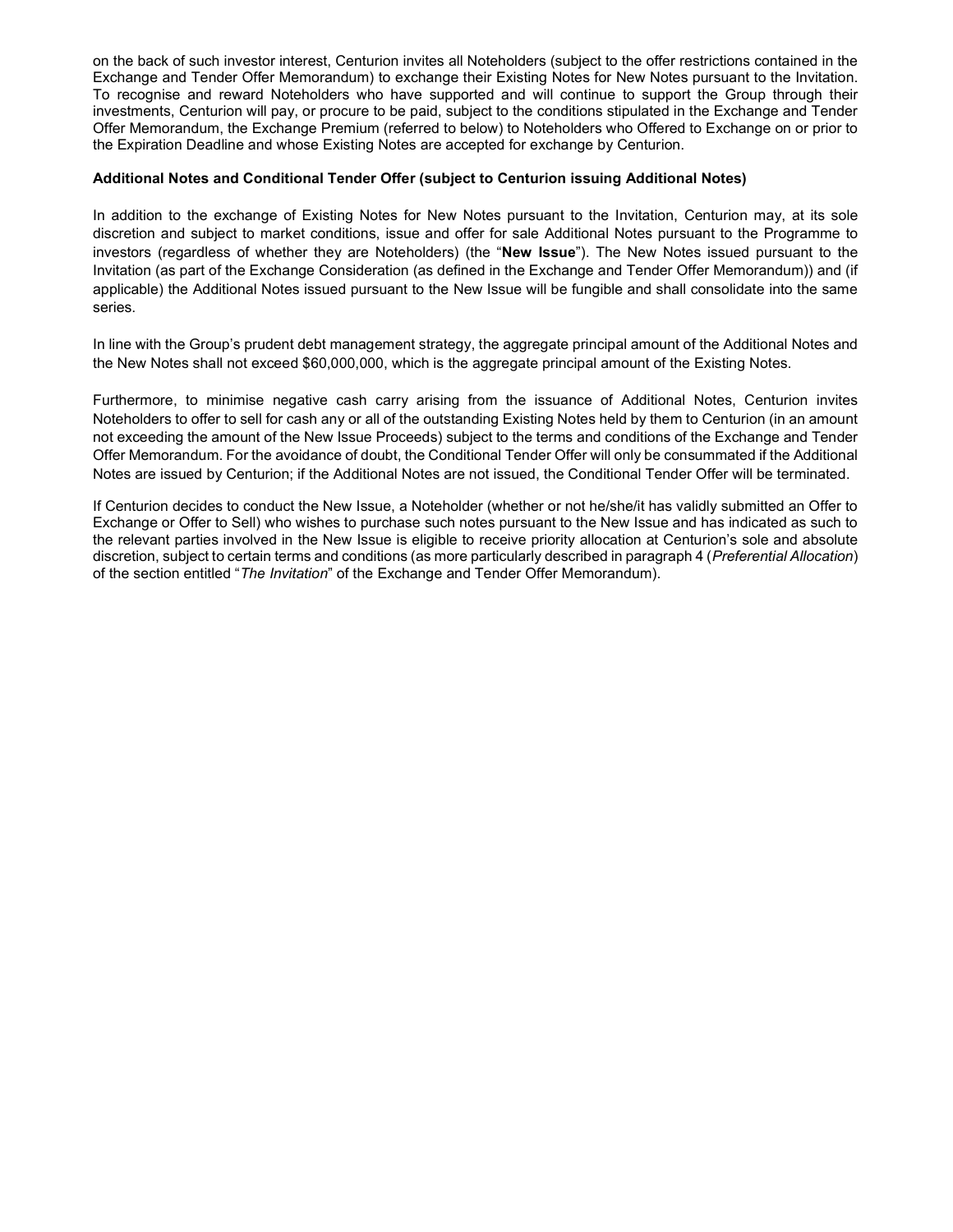on the back of such investor interest, Centurion invites all Noteholders (subject to the offer restrictions contained in the Exchange and Tender Offer Memorandum) to exchange their Existing Notes for New Notes pursuant to the Invitation. To recognise and reward Noteholders who have supported and will continue to support the Group through their investments, Centurion will pay, or procure to be paid, subject to the conditions stipulated in the Exchange and Tender Offer Memorandum, the Exchange Premium (referred to below) to Noteholders who Offered to Exchange on or prior to the Expiration Deadline and whose Existing Notes are accepted for exchange by Centurion.

### Additional Notes and Conditional Tender Offer (subject to Centurion issuing Additional Notes)

In addition to the exchange of Existing Notes for New Notes pursuant to the Invitation, Centurion may, at its sole discretion and subject to market conditions, issue and offer for sale Additional Notes pursuant to the Programme to investors (regardless of whether they are Noteholders) (the "New Issue"). The New Notes issued pursuant to the Invitation (as part of the Exchange Consideration (as defined in the Exchange and Tender Offer Memorandum)) and (if applicable) the Additional Notes issued pursuant to the New Issue will be fungible and shall consolidate into the same series.

In line with the Group's prudent debt management strategy, the aggregate principal amount of the Additional Notes and the New Notes shall not exceed \$60,000,000, which is the aggregate principal amount of the Existing Notes.

Furthermore, to minimise negative cash carry arising from the issuance of Additional Notes, Centurion invites Noteholders to offer to sell for cash any or all of the outstanding Existing Notes held by them to Centurion (in an amount not exceeding the amount of the New Issue Proceeds) subject to the terms and conditions of the Exchange and Tender Offer Memorandum. For the avoidance of doubt, the Conditional Tender Offer will only be consummated if the Additional Notes are issued by Centurion; if the Additional Notes are not issued, the Conditional Tender Offer will be terminated.

If Centurion decides to conduct the New Issue, a Noteholder (whether or not he/she/it has validly submitted an Offer to Exchange or Offer to Sell) who wishes to purchase such notes pursuant to the New Issue and has indicated as such to the relevant parties involved in the New Issue is eligible to receive priority allocation at Centurion's sole and absolute discretion, subject to certain terms and conditions (as more particularly described in paragraph 4 (Preferential Allocation) of the section entitled "The Invitation" of the Exchange and Tender Offer Memorandum).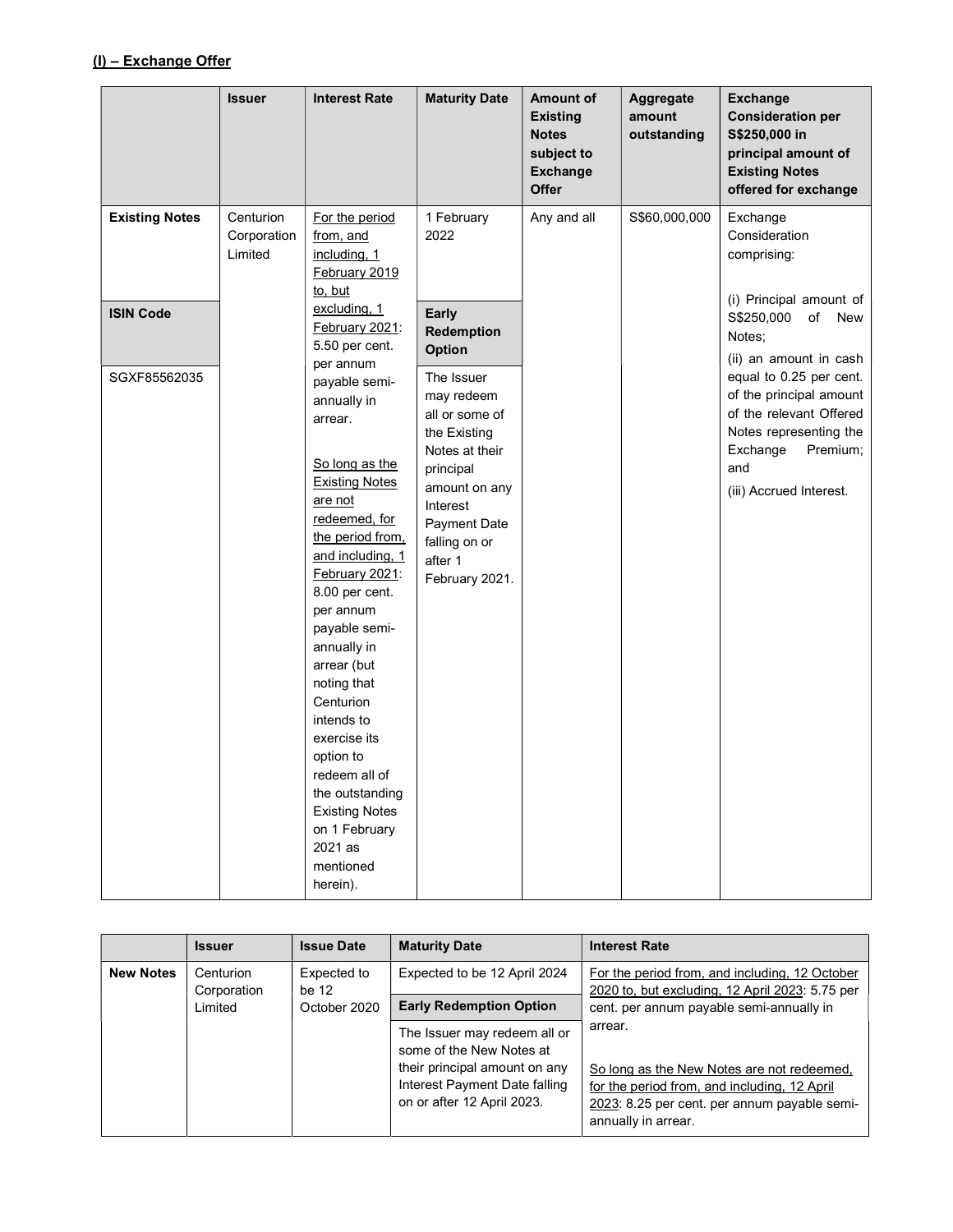# (I) – Exchange Offer

|                                                           | <b>Issuer</b>                       | <b>Interest Rate</b>                                                                                                                                                                                                                                                                                                                                                                                                                                                                                          | <b>Maturity Date</b>                                                                                                                                                                                                                                      | <b>Amount of</b><br><b>Existing</b><br><b>Notes</b><br>subject to<br><b>Exchange</b><br>Offer | Aggregate<br>amount<br>outstanding | <b>Exchange</b><br><b>Consideration per</b><br>S\$250,000 in<br>principal amount of<br><b>Existing Notes</b><br>offered for exchange                                                                                                                                                                    |
|-----------------------------------------------------------|-------------------------------------|---------------------------------------------------------------------------------------------------------------------------------------------------------------------------------------------------------------------------------------------------------------------------------------------------------------------------------------------------------------------------------------------------------------------------------------------------------------------------------------------------------------|-----------------------------------------------------------------------------------------------------------------------------------------------------------------------------------------------------------------------------------------------------------|-----------------------------------------------------------------------------------------------|------------------------------------|---------------------------------------------------------------------------------------------------------------------------------------------------------------------------------------------------------------------------------------------------------------------------------------------------------|
| <b>Existing Notes</b><br><b>ISIN Code</b><br>SGXF85562035 | Centurion<br>Corporation<br>Limited | For the period<br>from, and<br>including, 1<br>February 2019<br>to, but<br>excluding, 1<br>February 2021:<br>5.50 per cent.<br>per annum<br>payable semi-<br>annually in<br>arrear.<br>So long as the<br><b>Existing Notes</b><br>are not<br>redeemed, for<br>the period from,<br>and including, 1<br>February 2021:<br>8.00 per cent.<br>per annum<br>payable semi-<br>annually in<br>arrear (but<br>noting that<br>Centurion<br>intends to<br>exercise its<br>option to<br>redeem all of<br>the outstanding | 1 February<br>2022<br>Early<br>Redemption<br><b>Option</b><br>The Issuer<br>may redeem<br>all or some of<br>the Existing<br>Notes at their<br>principal<br>amount on any<br>Interest<br><b>Payment Date</b><br>falling on or<br>after 1<br>February 2021. | Any and all                                                                                   | S\$60,000,000                      | Exchange<br>Consideration<br>comprising:<br>(i) Principal amount of<br>S\$250,000<br>of<br>New<br>Notes;<br>(ii) an amount in cash<br>equal to 0.25 per cent.<br>of the principal amount<br>of the relevant Offered<br>Notes representing the<br>Exchange<br>Premium;<br>and<br>(iii) Accrued Interest. |
|                                                           |                                     | <b>Existing Notes</b><br>on 1 February<br>2021 as<br>mentioned<br>herein).                                                                                                                                                                                                                                                                                                                                                                                                                                    |                                                                                                                                                                                                                                                           |                                                                                               |                                    |                                                                                                                                                                                                                                                                                                         |

|                  | <b>Issuer</b>                       | <b>Issue Date</b>                    | <b>Maturity Date</b>                                                                                                                                     | <b>Interest Rate</b>                                                                                                                                                                                                     |
|------------------|-------------------------------------|--------------------------------------|----------------------------------------------------------------------------------------------------------------------------------------------------------|--------------------------------------------------------------------------------------------------------------------------------------------------------------------------------------------------------------------------|
| <b>New Notes</b> | Centurion<br>Corporation<br>Limited | Expected to<br>be 12<br>October 2020 | Expected to be 12 April 2024                                                                                                                             | For the period from, and including, 12 October<br>2020 to, but excluding, 12 April 2023: 5.75 per                                                                                                                        |
|                  |                                     |                                      | <b>Early Redemption Option</b>                                                                                                                           | cent. per annum payable semi-annually in<br>arrear.<br>So long as the New Notes are not redeemed,<br>for the period from, and including, 12 April<br>2023: 8.25 per cent. per annum payable semi-<br>annually in arrear. |
|                  |                                     |                                      | The Issuer may redeem all or<br>some of the New Notes at<br>their principal amount on any<br>Interest Payment Date falling<br>on or after 12 April 2023. |                                                                                                                                                                                                                          |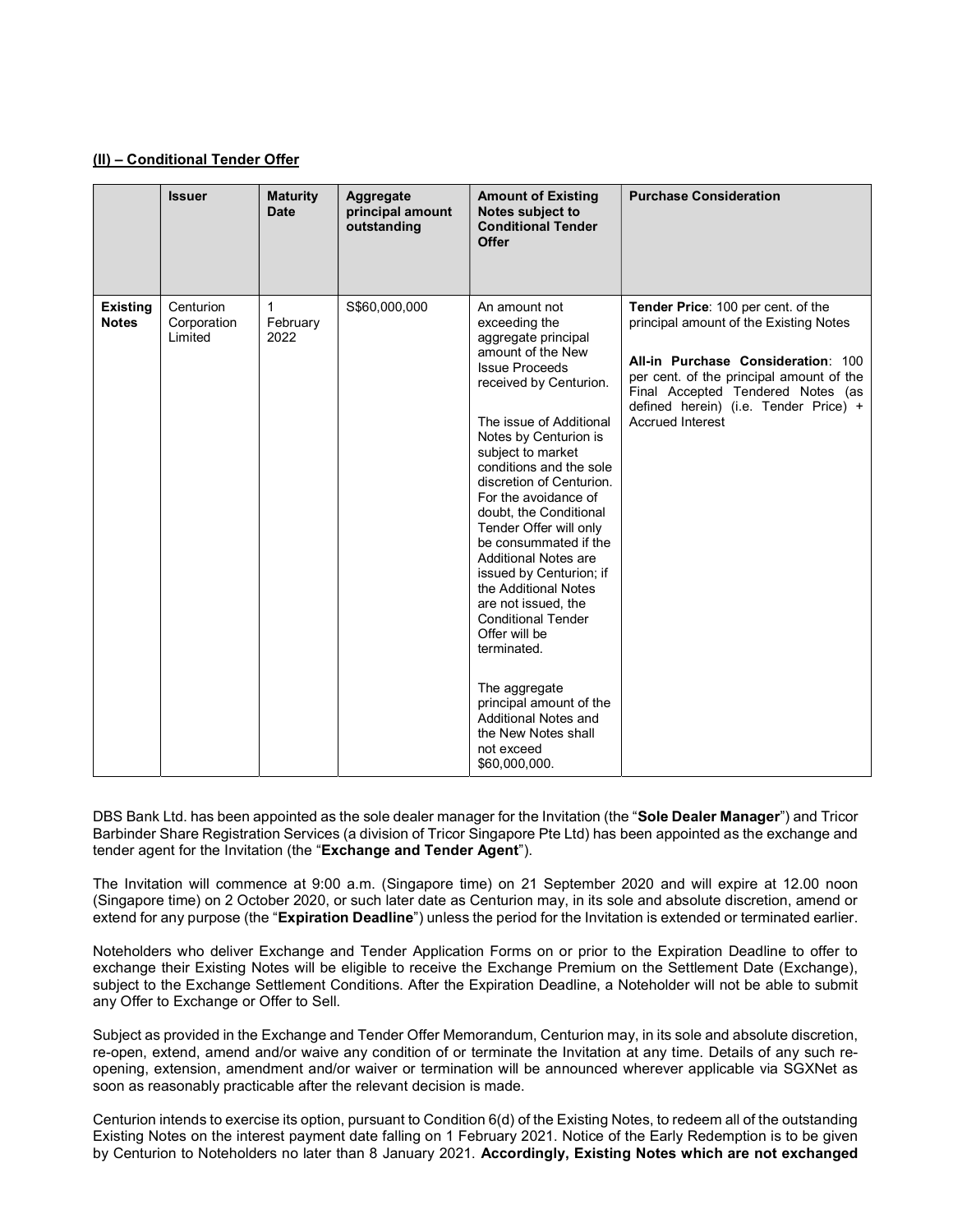### (II) – Conditional Tender Offer

|                                 | <b>Issuer</b>                       | <b>Maturity</b><br><b>Date</b> | Aggregate<br>principal amount<br>outstanding | <b>Amount of Existing</b><br>Notes subject to<br><b>Conditional Tender</b><br><b>Offer</b>                                                                                                                                                                                                                                                                                                                                                                                                                                                                                                                                                                         | <b>Purchase Consideration</b>                                                                                                                                                                                                                                           |
|---------------------------------|-------------------------------------|--------------------------------|----------------------------------------------|--------------------------------------------------------------------------------------------------------------------------------------------------------------------------------------------------------------------------------------------------------------------------------------------------------------------------------------------------------------------------------------------------------------------------------------------------------------------------------------------------------------------------------------------------------------------------------------------------------------------------------------------------------------------|-------------------------------------------------------------------------------------------------------------------------------------------------------------------------------------------------------------------------------------------------------------------------|
| <b>Existing</b><br><b>Notes</b> | Centurion<br>Corporation<br>Limited | 1<br>February<br>2022          | S\$60,000,000                                | An amount not<br>exceeding the<br>aggregate principal<br>amount of the New<br><b>Issue Proceeds</b><br>received by Centurion.<br>The issue of Additional<br>Notes by Centurion is<br>subject to market<br>conditions and the sole<br>discretion of Centurion.<br>For the avoidance of<br>doubt, the Conditional<br>Tender Offer will only<br>be consummated if the<br><b>Additional Notes are</b><br>issued by Centurion; if<br>the Additional Notes<br>are not issued, the<br><b>Conditional Tender</b><br>Offer will be<br>terminated.<br>The aggregate<br>principal amount of the<br>Additional Notes and<br>the New Notes shall<br>not exceed<br>\$60,000,000. | Tender Price: 100 per cent. of the<br>principal amount of the Existing Notes<br>All-in Purchase Consideration: 100<br>per cent. of the principal amount of the<br>Final Accepted Tendered Notes (as<br>defined herein) (i.e. Tender Price) +<br><b>Accrued Interest</b> |

DBS Bank Ltd. has been appointed as the sole dealer manager for the Invitation (the "Sole Dealer Manager") and Tricor Barbinder Share Registration Services (a division of Tricor Singapore Pte Ltd) has been appointed as the exchange and tender agent for the Invitation (the "Exchange and Tender Agent").

The Invitation will commence at 9:00 a.m. (Singapore time) on 21 September 2020 and will expire at 12.00 noon (Singapore time) on 2 October 2020, or such later date as Centurion may, in its sole and absolute discretion, amend or extend for any purpose (the "Expiration Deadline") unless the period for the Invitation is extended or terminated earlier.

Noteholders who deliver Exchange and Tender Application Forms on or prior to the Expiration Deadline to offer to exchange their Existing Notes will be eligible to receive the Exchange Premium on the Settlement Date (Exchange), subject to the Exchange Settlement Conditions. After the Expiration Deadline, a Noteholder will not be able to submit any Offer to Exchange or Offer to Sell.

Subject as provided in the Exchange and Tender Offer Memorandum, Centurion may, in its sole and absolute discretion, re-open, extend, amend and/or waive any condition of or terminate the Invitation at any time. Details of any such reopening, extension, amendment and/or waiver or termination will be announced wherever applicable via SGXNet as soon as reasonably practicable after the relevant decision is made.

Centurion intends to exercise its option, pursuant to Condition 6(d) of the Existing Notes, to redeem all of the outstanding Existing Notes on the interest payment date falling on 1 February 2021. Notice of the Early Redemption is to be given by Centurion to Noteholders no later than 8 January 2021. Accordingly, Existing Notes which are not exchanged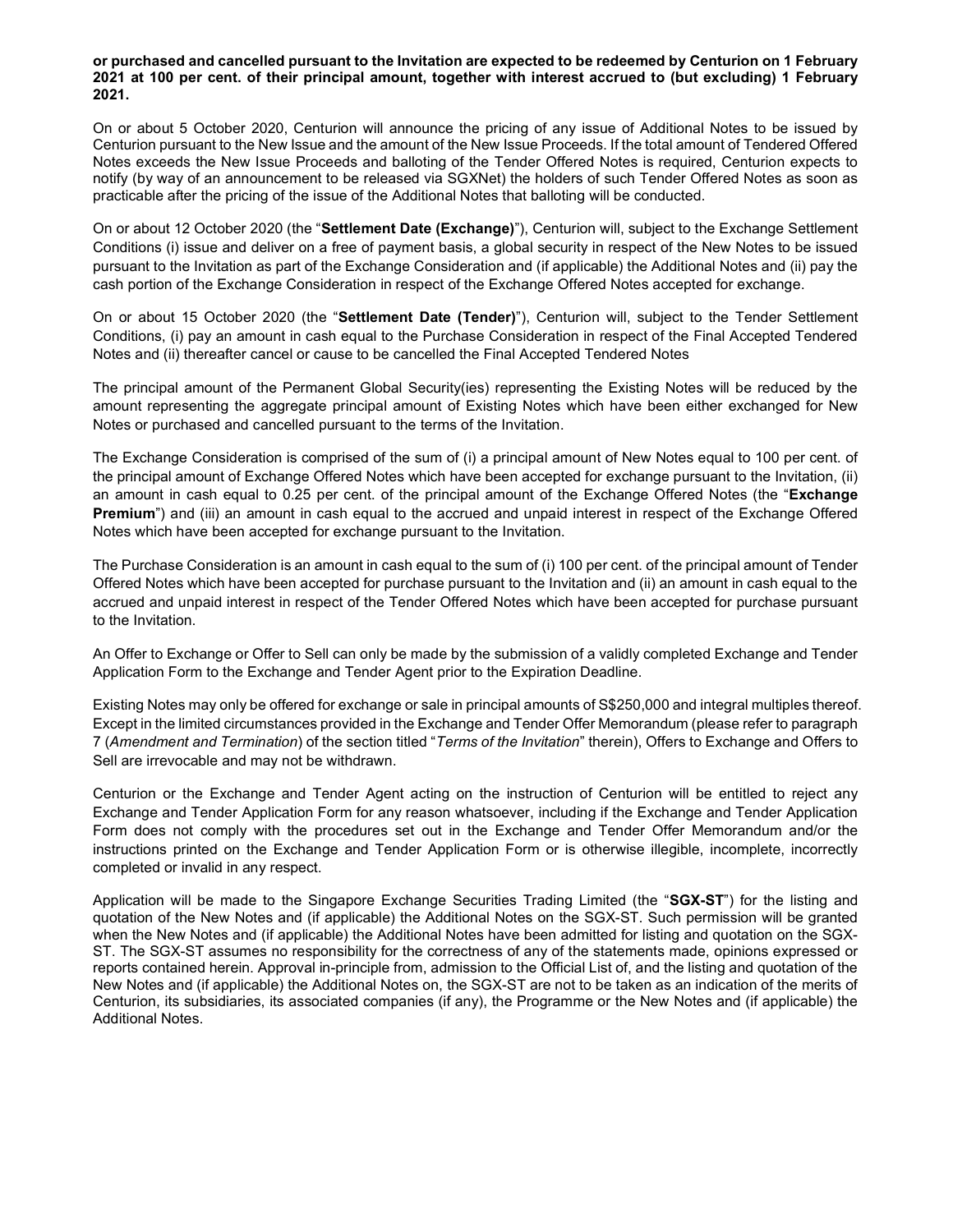or purchased and cancelled pursuant to the Invitation are expected to be redeemed by Centurion on 1 February 2021 at 100 per cent. of their principal amount, together with interest accrued to (but excluding) 1 February 2021.

On or about 5 October 2020, Centurion will announce the pricing of any issue of Additional Notes to be issued by Centurion pursuant to the New Issue and the amount of the New Issue Proceeds. If the total amount of Tendered Offered Notes exceeds the New Issue Proceeds and balloting of the Tender Offered Notes is required, Centurion expects to notify (by way of an announcement to be released via SGXNet) the holders of such Tender Offered Notes as soon as practicable after the pricing of the issue of the Additional Notes that balloting will be conducted.

On or about 12 October 2020 (the "Settlement Date (Exchange)"), Centurion will, subject to the Exchange Settlement Conditions (i) issue and deliver on a free of payment basis, a global security in respect of the New Notes to be issued pursuant to the Invitation as part of the Exchange Consideration and (if applicable) the Additional Notes and (ii) pay the cash portion of the Exchange Consideration in respect of the Exchange Offered Notes accepted for exchange.

On or about 15 October 2020 (the "Settlement Date (Tender)"), Centurion will, subject to the Tender Settlement Conditions, (i) pay an amount in cash equal to the Purchase Consideration in respect of the Final Accepted Tendered Notes and (ii) thereafter cancel or cause to be cancelled the Final Accepted Tendered Notes

The principal amount of the Permanent Global Security(ies) representing the Existing Notes will be reduced by the amount representing the aggregate principal amount of Existing Notes which have been either exchanged for New Notes or purchased and cancelled pursuant to the terms of the Invitation.

The Exchange Consideration is comprised of the sum of (i) a principal amount of New Notes equal to 100 per cent. of the principal amount of Exchange Offered Notes which have been accepted for exchange pursuant to the Invitation, (ii) an amount in cash equal to 0.25 per cent. of the principal amount of the Exchange Offered Notes (the "Exchange Premium") and (iii) an amount in cash equal to the accrued and unpaid interest in respect of the Exchange Offered Notes which have been accepted for exchange pursuant to the Invitation.

The Purchase Consideration is an amount in cash equal to the sum of (i) 100 per cent. of the principal amount of Tender Offered Notes which have been accepted for purchase pursuant to the Invitation and (ii) an amount in cash equal to the accrued and unpaid interest in respect of the Tender Offered Notes which have been accepted for purchase pursuant to the Invitation.

An Offer to Exchange or Offer to Sell can only be made by the submission of a validly completed Exchange and Tender Application Form to the Exchange and Tender Agent prior to the Expiration Deadline.

Existing Notes may only be offered for exchange or sale in principal amounts of S\$250,000 and integral multiples thereof. Except in the limited circumstances provided in the Exchange and Tender Offer Memorandum (please refer to paragraph 7 (Amendment and Termination) of the section titled "Terms of the Invitation" therein), Offers to Exchange and Offers to Sell are irrevocable and may not be withdrawn.

Centurion or the Exchange and Tender Agent acting on the instruction of Centurion will be entitled to reject any Exchange and Tender Application Form for any reason whatsoever, including if the Exchange and Tender Application Form does not comply with the procedures set out in the Exchange and Tender Offer Memorandum and/or the instructions printed on the Exchange and Tender Application Form or is otherwise illegible, incomplete, incorrectly completed or invalid in any respect.

Application will be made to the Singapore Exchange Securities Trading Limited (the "SGX-ST") for the listing and quotation of the New Notes and (if applicable) the Additional Notes on the SGX-ST. Such permission will be granted when the New Notes and (if applicable) the Additional Notes have been admitted for listing and quotation on the SGX-ST. The SGX-ST assumes no responsibility for the correctness of any of the statements made, opinions expressed or reports contained herein. Approval in-principle from, admission to the Official List of, and the listing and quotation of the New Notes and (if applicable) the Additional Notes on, the SGX-ST are not to be taken as an indication of the merits of Centurion, its subsidiaries, its associated companies (if any), the Programme or the New Notes and (if applicable) the Additional Notes.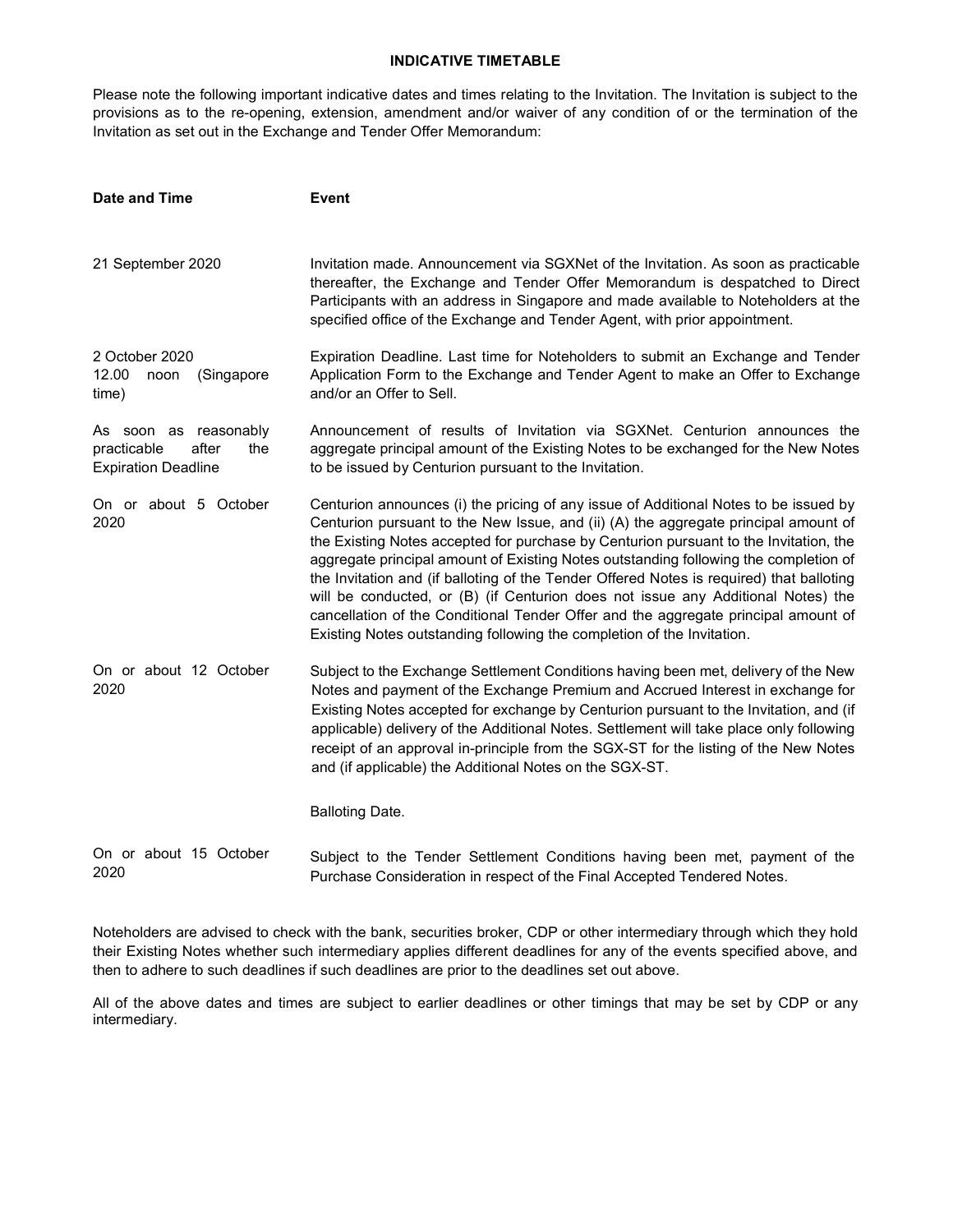# INDICATIVE TIMETABLE

Please note the following important indicative dates and times relating to the Invitation. The Invitation is subject to the provisions as to the re-opening, extension, amendment and/or waiver of any condition of or the termination of the Invitation as set out in the Exchange and Tender Offer Memorandum:

| Date and Time                                                                      | <b>Event</b>                                                                                                                                                                                                                                                                                                                                                                                                                                                                                                                                                                                                                                                                                                 |  |  |
|------------------------------------------------------------------------------------|--------------------------------------------------------------------------------------------------------------------------------------------------------------------------------------------------------------------------------------------------------------------------------------------------------------------------------------------------------------------------------------------------------------------------------------------------------------------------------------------------------------------------------------------------------------------------------------------------------------------------------------------------------------------------------------------------------------|--|--|
| 21 September 2020                                                                  | Invitation made. Announcement via SGXNet of the Invitation. As soon as practicable<br>thereafter, the Exchange and Tender Offer Memorandum is despatched to Direct<br>Participants with an address in Singapore and made available to Noteholders at the<br>specified office of the Exchange and Tender Agent, with prior appointment.                                                                                                                                                                                                                                                                                                                                                                       |  |  |
| 2 October 2020<br>12.00<br>noon<br>(Singapore<br>time)                             | Expiration Deadline. Last time for Noteholders to submit an Exchange and Tender<br>Application Form to the Exchange and Tender Agent to make an Offer to Exchange<br>and/or an Offer to Sell.                                                                                                                                                                                                                                                                                                                                                                                                                                                                                                                |  |  |
| As soon as reasonably<br>after<br>practicable<br>the<br><b>Expiration Deadline</b> | Announcement of results of Invitation via SGXNet. Centurion announces the<br>aggregate principal amount of the Existing Notes to be exchanged for the New Notes<br>to be issued by Centurion pursuant to the Invitation.                                                                                                                                                                                                                                                                                                                                                                                                                                                                                     |  |  |
| On or about 5 October<br>2020                                                      | Centurion announces (i) the pricing of any issue of Additional Notes to be issued by<br>Centurion pursuant to the New Issue, and (ii) (A) the aggregate principal amount of<br>the Existing Notes accepted for purchase by Centurion pursuant to the Invitation, the<br>aggregate principal amount of Existing Notes outstanding following the completion of<br>the Invitation and (if balloting of the Tender Offered Notes is required) that balloting<br>will be conducted, or (B) (if Centurion does not issue any Additional Notes) the<br>cancellation of the Conditional Tender Offer and the aggregate principal amount of<br>Existing Notes outstanding following the completion of the Invitation. |  |  |
| On or about 12 October<br>2020                                                     | Subject to the Exchange Settlement Conditions having been met, delivery of the New<br>Notes and payment of the Exchange Premium and Accrued Interest in exchange for<br>Existing Notes accepted for exchange by Centurion pursuant to the Invitation, and (if<br>applicable) delivery of the Additional Notes. Settlement will take place only following<br>receipt of an approval in-principle from the SGX-ST for the listing of the New Notes<br>and (if applicable) the Additional Notes on the SGX-ST.                                                                                                                                                                                                  |  |  |
|                                                                                    | <b>Balloting Date.</b>                                                                                                                                                                                                                                                                                                                                                                                                                                                                                                                                                                                                                                                                                       |  |  |
| On or about 15 October<br>2020                                                     | Subject to the Tender Settlement Conditions having been met, payment of the<br>Purchase Consideration in respect of the Final Accepted Tendered Notes.                                                                                                                                                                                                                                                                                                                                                                                                                                                                                                                                                       |  |  |

Noteholders are advised to check with the bank, securities broker, CDP or other intermediary through which they hold their Existing Notes whether such intermediary applies different deadlines for any of the events specified above, and then to adhere to such deadlines if such deadlines are prior to the deadlines set out above.

All of the above dates and times are subject to earlier deadlines or other timings that may be set by CDP or any intermediary.